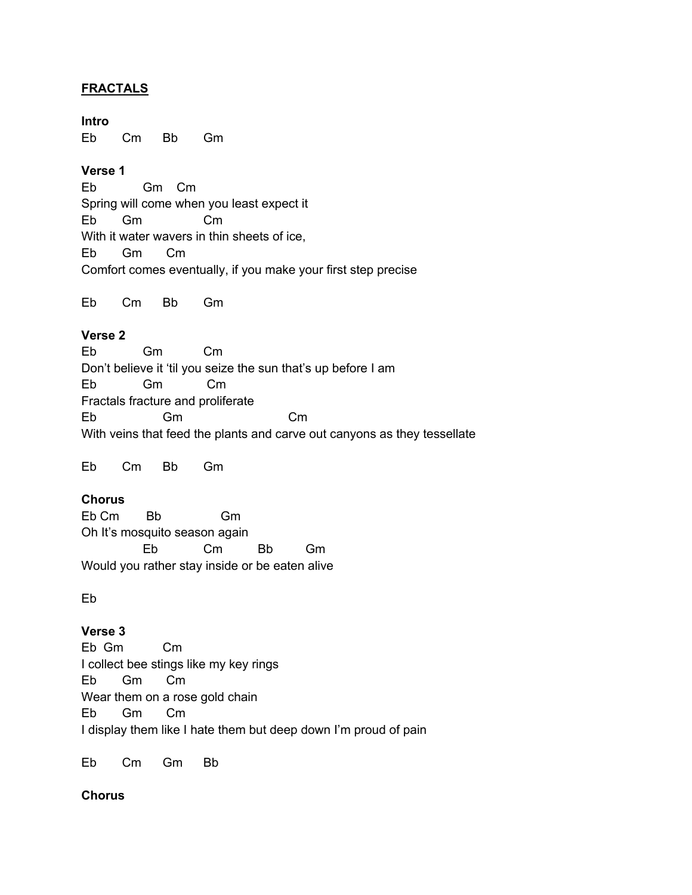## **FRACTALS**

**Intro** Eb Cm Bb Gm

#### **Verse 1**

Eb Gm Cm Spring will come when you least expect it Eb Gm Cm With it water wavers in thin sheets of ice, Eb Gm Cm Comfort comes eventually, if you make your first step precise

Eb Cm Bb Gm

## **Verse 2**

Eb Gm Cm Don't believe it 'til you seize the sun that's up before I am Eb Gm Cm Fractals fracture and proliferate Eb Gm Cm With veins that feed the plants and carve out canyons as they tessellate

Eb Cm Bb Gm

### **Chorus**

Eb Cm Bb Gm Oh It's mosquito season again Eb Cm Bb Gm Would you rather stay inside or be eaten alive

Eb

# **Verse 3**

Eb Gm Cm I collect bee stings like my key rings Eb Gm Cm Wear them on a rose gold chain Eb Gm Cm I display them like I hate them but deep down I'm proud of pain

Eb Cm Gm Bb

**Chorus**